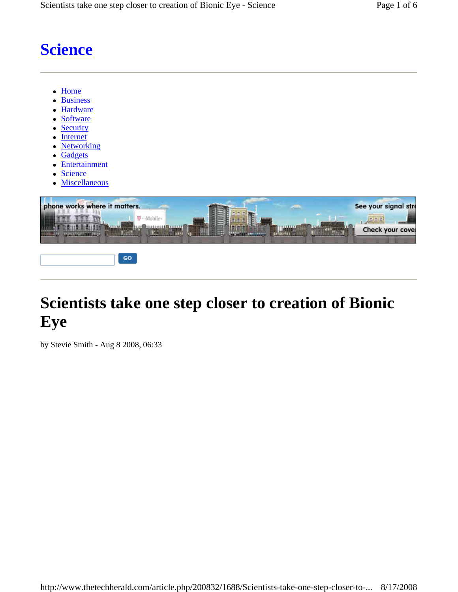# **Science**

- Home
- **Business**
- **Hardware**
- Software
- **Security**
- **Internet**
- **Networking**
- **Gadgets**
- **Entertainment**
- Science
- **Miscellaneous**



## **Scientists take one step closer to creation of Bionic Eye**

by Stevie Smith - Aug 8 2008, 06:33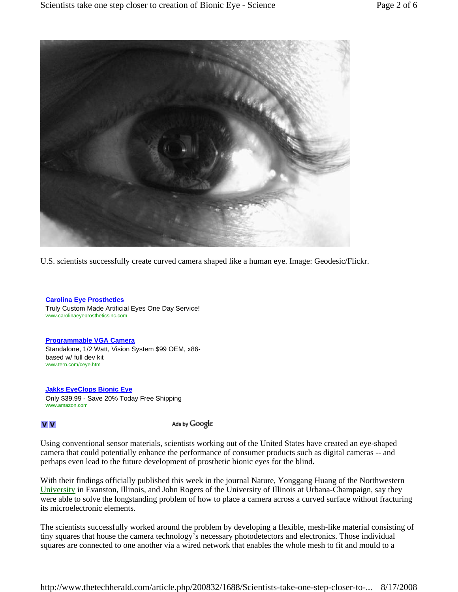

U.S. scientists successfully create curved camera shaped like a human eye. Image: Geodesic/Flickr.

**Carolina Eye Prosthetics** Truly Custom Made Artificial Eyes One Day Service! www.carolinaeyeprostheticsinc.com

**Programmable VGA Camera** Standalone, 1/2 Watt, Vision System \$99 OEM, x86 based w/ full dev kit www.tern.com/ceye.htm

**Jakks EyeClops Bionic Eye** Only \$39.99 - Save 20% Today Free Shipping www.amazon.com

#### V V

Ads by Google

Using conventional sensor materials, scientists working out of the United States have created an eye-shaped camera that could potentially enhance the performance of consumer products such as digital cameras -- and perhaps even lead to the future development of prosthetic bionic eyes for the blind.

With their findings officially published this week in the journal Nature, Yonggang Huang of the Northwestern University in Evanston, Illinois, and John Rogers of the University of Illinois at Urbana-Champaign, say they were able to solve the longstanding problem of how to place a camera across a curved surface without fracturing its microelectronic elements.

The scientists successfully worked around the problem by developing a flexible, mesh-like material consisting of tiny squares that house the camera technology's necessary photodetectors and electronics. Those individual squares are connected to one another via a wired network that enables the whole mesh to fit and mould to a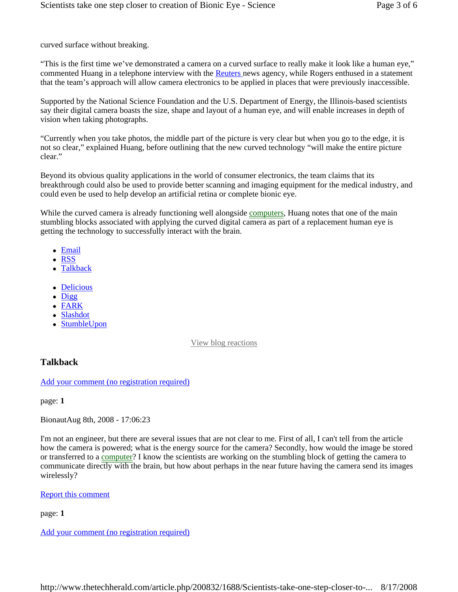curved surface without breaking.

"This is the first time we've demonstrated a camera on a curved surface to really make it look like a human eye," commented Huang in a telephone interview with the Reuters news agency, while Rogers enthused in a statement that the team's approach will allow camera electronics to be applied in places that were previously inaccessible.

Supported by the National Science Foundation and the U.S. Department of Energy, the Illinois-based scientists say their digital camera boasts the size, shape and layout of a human eye, and will enable increases in depth of vision when taking photographs.

"Currently when you take photos, the middle part of the picture is very clear but when you go to the edge, it is not so clear," explained Huang, before outlining that the new curved technology "will make the entire picture clear"

Beyond its obvious quality applications in the world of consumer electronics, the team claims that its breakthrough could also be used to provide better scanning and imaging equipment for the medical industry, and could even be used to help develop an artificial retina or complete bionic eye.

While the curved camera is already functioning well alongside computers, Huang notes that one of the main stumbling blocks associated with applying the curved digital camera as part of a replacement human eye is getting the technology to successfully interact with the brain.

- Email
- RSS
- Talkback
- Delicious
- $\bullet$  Digg
- $\bullet$  FARK
- Slashdot
- StumbleUpon

#### View blog reactions

### **Talkback**

Add your comment (no registration required)

page: **1**

BionautAug 8th, 2008 - 17:06:23

I'm not an engineer, but there are several issues that are not clear to me. First of all, I can't tell from the article how the camera is powered; what is the energy source for the camera? Secondly, how would the image be stored or transferred to a computer? I know the scientists are working on the stumbling block of getting the camera to communicate directly with the brain, but how about perhaps in the near future having the camera send its images wirelessly?

#### Report this comment

page: **1**

Add your comment (no registration required)

http://www.thetechherald.com/article.php/200832/1688/Scientists-take-one-step-closer-to-... 8/17/2008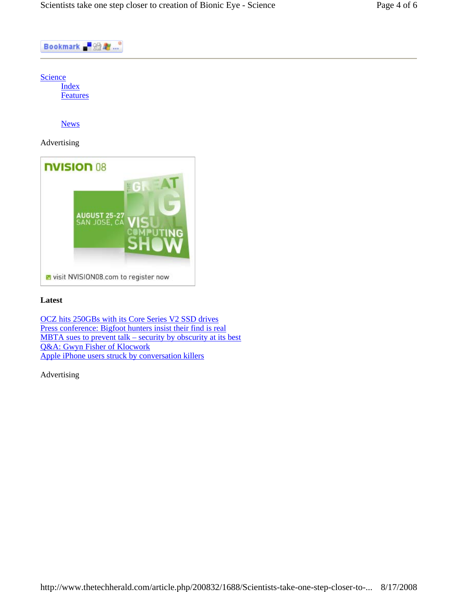



#### **Latest**

OCZ hits 250GBs with its Core Series V2 SSD drives Press conference: Bigfoot hunters insist their find is real MBTA sues to prevent talk – security by obscurity at its best Q&A: Gwyn Fisher of Klocwork Apple iPhone users struck by conversation killers

Advertising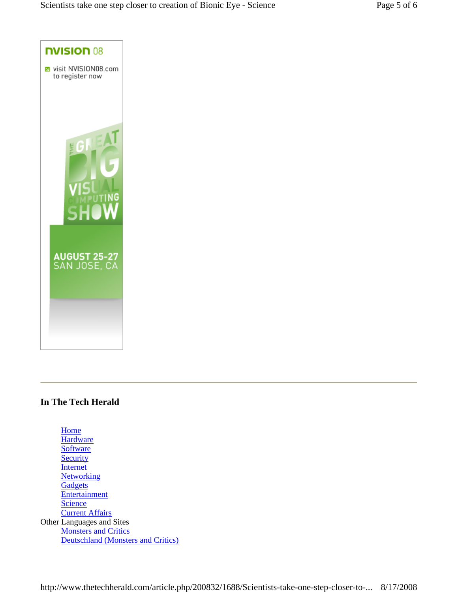

## **In The Tech Herald**

**Home Hardware Software Security** Internet **Networking Gadgets Entertainment Science** Current Affairs Other Languages and Sites **Monsters and Critics** Deutschland (Monsters and Critics)